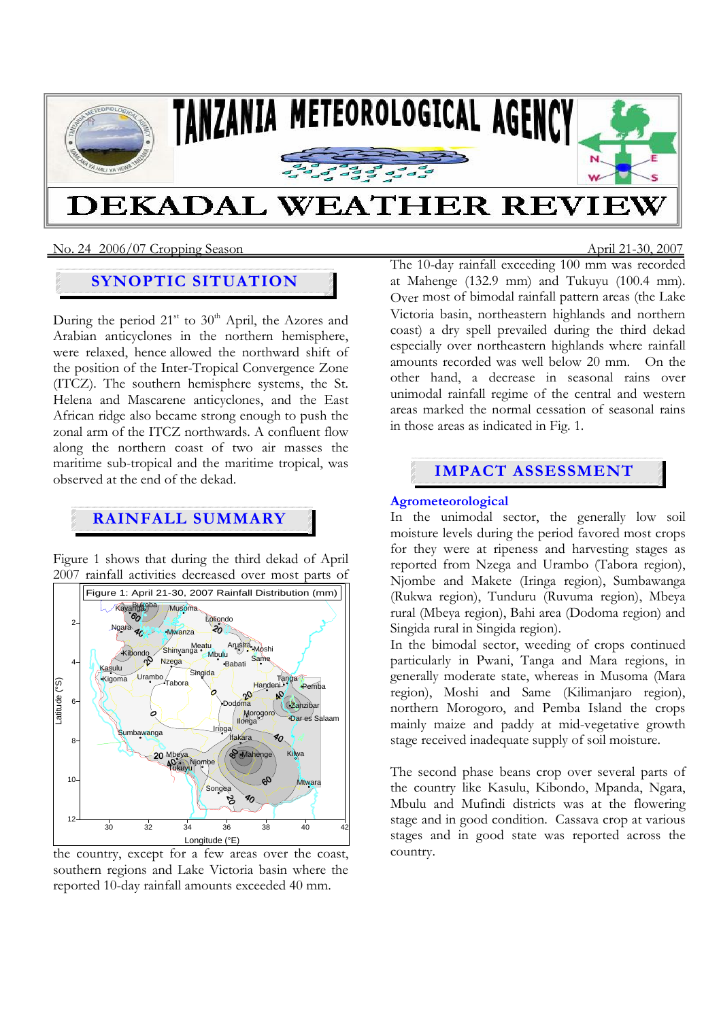

No. 24 2006/07 Cropping SeasonApril 21-30, 2007

## **SYNOPTIC SITUATION**

During the period  $21<sup>st</sup>$  to  $30<sup>th</sup>$  April, the Azores and Arabian anticyclones in the northern hemisphere, were relaxed, hence allowed the northward shift of the position of the Inter-Tropical Convergence Zone (ITCZ). The southern hemisphere systems, the St. Helena and Mascarene anticyclones, and the East African ridge also became strong enough to push the zonal arm of the ITCZ northwards. A confluent flow along the northern coast of two air masses the maritime sub-tropical and the maritime tropical, was observed at the end of the dekad.

# **RAINFALL SUMMARY**

Figure 1 shows that during the third dekad of April 2007 rainfall activities decreased over most parts of



the country, except for a few areas over the coast, southern regions and Lake Victoria basin where the reported 10-day rainfall amounts exceeded 40 mm.

The 10-day rainfall exceeding 100 mm was recorded at Mahenge (132.9 mm) and Tukuyu (100.4 mm). Over most of bimodal rainfall pattern areas (the Lake Victoria basin, northeastern highlands and northern coast) a dry spell prevailed during the third dekad especially over northeastern highlands where rainfall amounts recorded was well below 20 mm. On the other hand, a decrease in seasonal rains over unimodal rainfall regime of the central and western areas marked the normal cessation of seasonal rains in those areas as indicated in Fig. 1.

# **IMPACT ASSESSMENT**

### **Agrometeorological**

In the unimodal sector, the generally low soil moisture levels during the period favored most crops for they were at ripeness and harvesting stages as reported from Nzega and Urambo (Tabora region), Njombe and Makete (Iringa region), Sumbawanga (Rukwa region), Tunduru (Ruvuma region), Mbeya rural (Mbeya region), Bahi area (Dodoma region) and Singida rural in Singida region).

In the bimodal sector, weeding of crops continued particularly in Pwani, Tanga and Mara regions, in generally moderate state, whereas in Musoma (Mara region), Moshi and Same (Kilimanjaro region), northern Morogoro, and Pemba Island the crops mainly maize and paddy at mid-vegetative growth stage received inadequate supply of soil moisture.

The second phase beans crop over several parts of the country like Kasulu, Kibondo, Mpanda, Ngara, Mbulu and Mufindi districts was at the flowering stage and in good condition. Cassava crop at various stages and in good state was reported across the country.